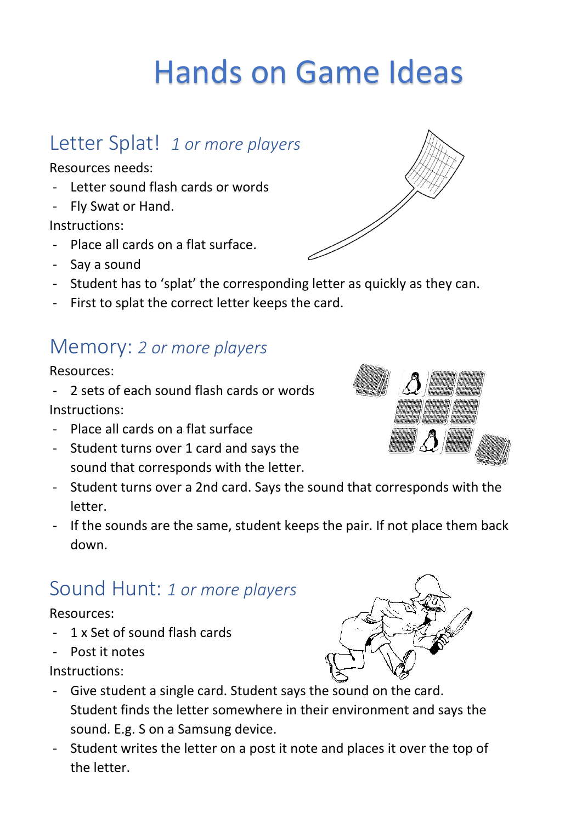# Hands on Game Ideas

### Letter Splat! *1 or more players*

Resources needs:

- Letter sound flash cards or words
- Fly Swat or Hand.

Instructions:

- Place all cards on a flat surface.
- Say a sound
- Student has to 'splat' the corresponding letter as quickly as they can.
- First to splat the correct letter keeps the card.

### Memory: *2 or more players*

#### Resources:

- 2 sets of each sound flash cards or words Instructions:
- Place all cards on a flat surface
- Student turns over 1 card and says the sound that corresponds with the letter.
- Student turns over a 2nd card. Says the sound that corresponds with the letter.
- If the sounds are the same, student keeps the pair. If not place them back down.

## Sound Hunt: *1 or more players*

### Resources:

- 1 x Set of sound flash cards
- Post it notes

Instructions:

- Give student a single card. Student says the sound on the card. Student finds the letter somewhere in their environment and says the sound. E.g. S on a Samsung device.
- Student writes the letter on a post it note and places it over the top of the letter.





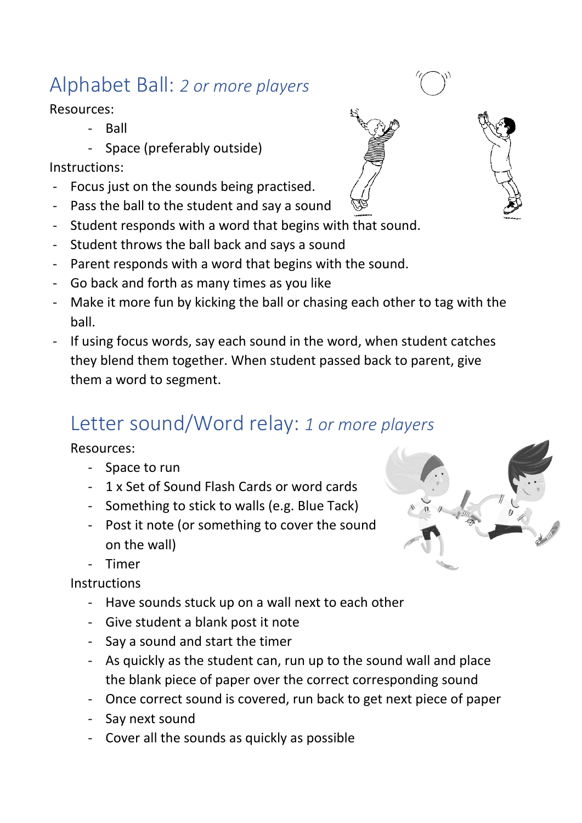# Alphabet Ball: *2 or more players*

Resources:

- Ball
- Space (preferably outside)

#### Instructions:

- Focus just on the sounds being practised.
- Pass the ball to the student and say a sound
- Student responds with a word that begins with that sound.
- Student throws the ball back and says a sound
- Parent responds with a word that begins with the sound.
- Go back and forth as many times as you like
- Make it more fun by kicking the ball or chasing each other to tag with the ball.
- If using focus words, say each sound in the word, when student catches they blend them together. When student passed back to parent, give them a word to segment.

# Letter sound/Word relay: *1 or more players*

#### Resources:

- Space to run
- 1 x Set of Sound Flash Cards or word cards
- Something to stick to walls (e.g. Blue Tack)
- Post it note (or something to cover the sound on the wall)
- Timer

**Instructions** 

- Have sounds stuck up on a wall next to each other
- Give student a blank post it note
- Say a sound and start the timer
- As quickly as the student can, run up to the sound wall and place the blank piece of paper over the correct corresponding sound
- Once correct sound is covered, run back to get next piece of paper
- Say next sound
- Cover all the sounds as quickly as possible